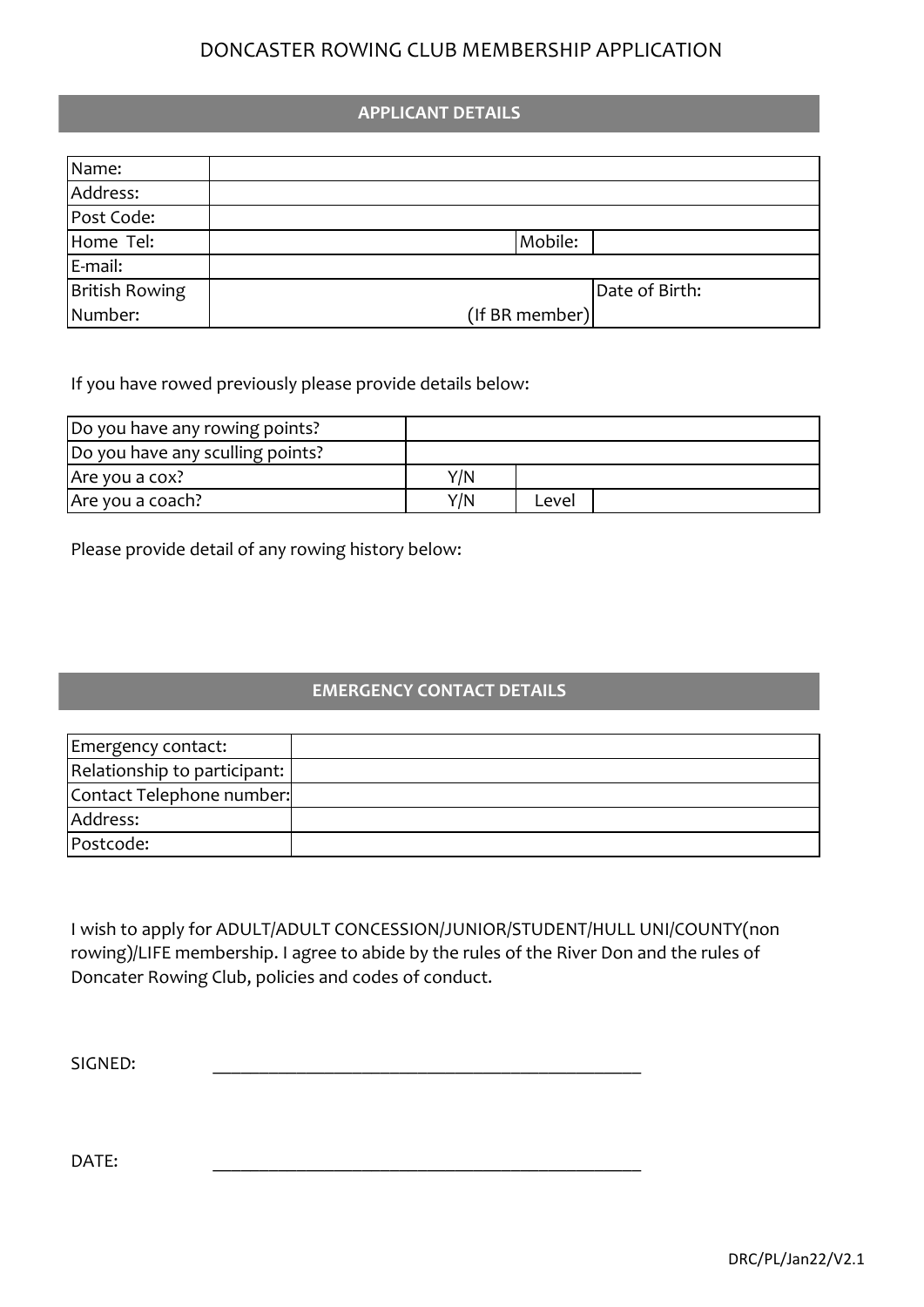## DONCASTER ROWING CLUB MEMBERSHIP APPLICATION

## **APPLICANT DETAILS**

| Name:          |                |
|----------------|----------------|
| Address:       |                |
| Post Code:     |                |
| Home Tel:      | Mobile:        |
| $E$ -mail:     |                |
| British Rowing | Date of Birth: |
| Number:        | (If BR member) |

If you have rowed previously please provide details below:

| Do you have any rowing points?   |     |       |  |
|----------------------------------|-----|-------|--|
| Do you have any sculling points? |     |       |  |
| Are you a cox?                   | Y/N |       |  |
| Are you a coach?                 | Y/N | Level |  |

Please provide detail of any rowing history below:

## **EMERGENCY CONTACT DETAILS**

| Emergency contact:           |  |
|------------------------------|--|
| Relationship to participant: |  |
| Contact Telephone number:    |  |
| Address:                     |  |
| Postcode:                    |  |

I wish to apply for ADULT/ADULT CONCESSION/JUNIOR/STUDENT/HULL UNI/COUNTY(non rowing)/LIFE membership. I agree to abide by the rules of the River Don and the rules of Doncater Rowing Club, policies and codes of conduct.

SIGNED: \_\_\_\_\_\_\_\_\_\_\_\_\_\_\_\_\_\_\_\_\_\_\_\_\_\_\_\_\_\_\_\_\_\_\_\_\_\_\_\_\_\_\_\_\_\_

DATE: \_\_\_\_\_\_\_\_\_\_\_\_\_\_\_\_\_\_\_\_\_\_\_\_\_\_\_\_\_\_\_\_\_\_\_\_\_\_\_\_\_\_\_\_\_\_